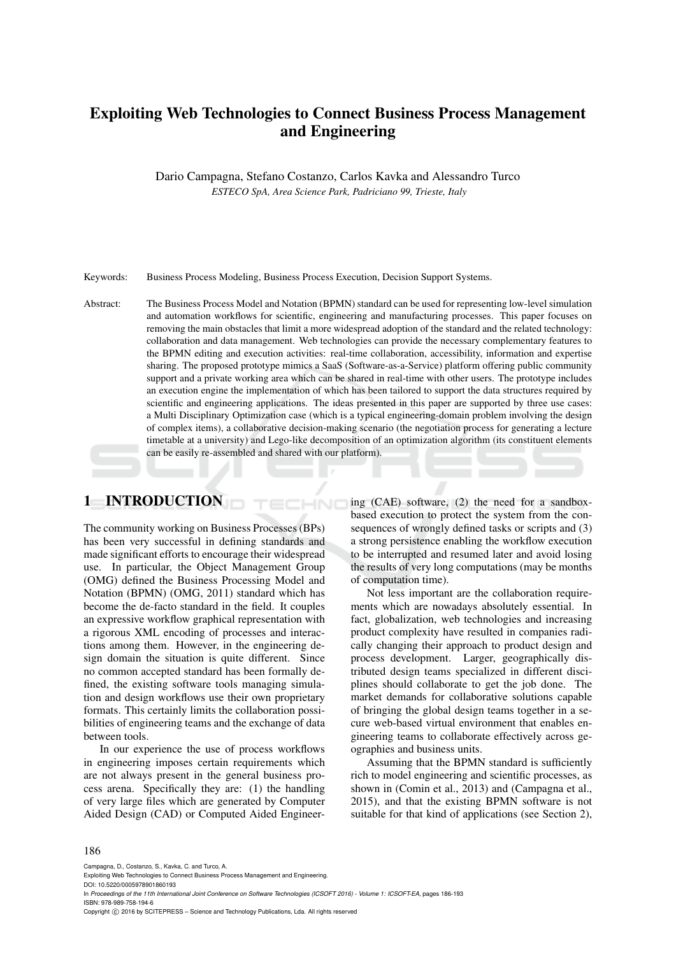# Exploiting Web Technologies to Connect Business Process Management and Engineering

Dario Campagna, Stefano Costanzo, Carlos Kavka and Alessandro Turco *ESTECO SpA, Area Science Park, Padriciano 99, Trieste, Italy*

Keywords: Business Process Modeling, Business Process Execution, Decision Support Systems.

Abstract: The Business Process Model and Notation (BPMN) standard can be used for representing low-level simulation and automation workflows for scientific, engineering and manufacturing processes. This paper focuses on removing the main obstacles that limit a more widespread adoption of the standard and the related technology: collaboration and data management. Web technologies can provide the necessary complementary features to the BPMN editing and execution activities: real-time collaboration, accessibility, information and expertise sharing. The proposed prototype mimics a SaaS (Software-as-a-Service) platform offering public community support and a private working area which can be shared in real-time with other users. The prototype includes an execution engine the implementation of which has been tailored to support the data structures required by scientific and engineering applications. The ideas presented in this paper are supported by three use cases: a Multi Disciplinary Optimization case (which is a typical engineering-domain problem involving the design of complex items), a collaborative decision-making scenario (the negotiation process for generating a lecture timetable at a university) and Lego-like decomposition of an optimization algorithm (its constituent elements can be easily re-assembled and shared with our platform).

HNC

## 1 INTRODUCTION

The community working on Business Processes (BPs) has been very successful in defining standards and made significant efforts to encourage their widespread use. In particular, the Object Management Group (OMG) defined the Business Processing Model and Notation (BPMN) (OMG, 2011) standard which has become the de-facto standard in the field. It couples an expressive workflow graphical representation with a rigorous XML encoding of processes and interactions among them. However, in the engineering design domain the situation is quite different. Since no common accepted standard has been formally defined, the existing software tools managing simulation and design workflows use their own proprietary formats. This certainly limits the collaboration possibilities of engineering teams and the exchange of data between tools.

In our experience the use of process workflows in engineering imposes certain requirements which are not always present in the general business process arena. Specifically they are: (1) the handling of very large files which are generated by Computer Aided Design (CAD) or Computed Aided Engineering (CAE) software, (2) the need for a sandboxbased execution to protect the system from the consequences of wrongly defined tasks or scripts and (3) a strong persistence enabling the workflow execution to be interrupted and resumed later and avoid losing the results of very long computations (may be months of computation time).

Not less important are the collaboration requirements which are nowadays absolutely essential. In fact, globalization, web technologies and increasing product complexity have resulted in companies radically changing their approach to product design and process development. Larger, geographically distributed design teams specialized in different disciplines should collaborate to get the job done. The market demands for collaborative solutions capable of bringing the global design teams together in a secure web-based virtual environment that enables engineering teams to collaborate effectively across geographies and business units.

Assuming that the BPMN standard is sufficiently rich to model engineering and scientific processes, as shown in (Comin et al., 2013) and (Campagna et al., 2015), and that the existing BPMN software is not suitable for that kind of applications (see Section 2),

#### 186

Campagna, D., Costanzo, S., Kavka, C. and Turco, A.

DOI: 10.5220/0005978901860193

In *Proceedings of the 11th International Joint Conference on Software Technologies (ICSOFT 2016) - Volume 1: ICSOFT-EA*, pages 186-193 ISBN: 978-989-758-194-6

Copyright © 2016 by SCITEPRESS - Science and Technology Publications, Lda. All rights reserved

Exploiting Web Technologies to Connect Business Process Management and Engineering.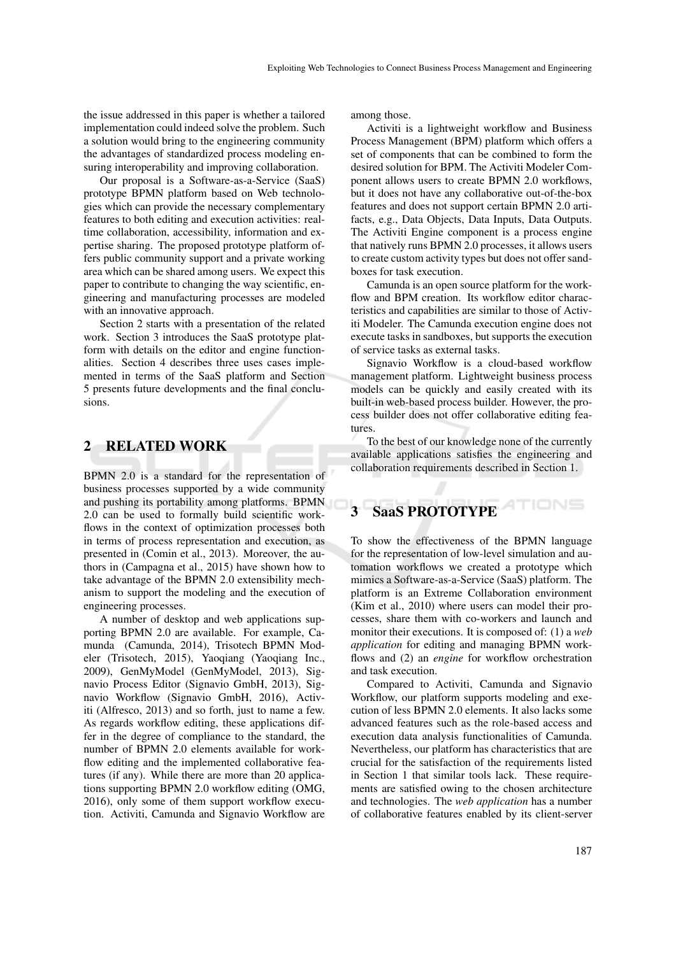the issue addressed in this paper is whether a tailored implementation could indeed solve the problem. Such a solution would bring to the engineering community the advantages of standardized process modeling ensuring interoperability and improving collaboration.

Our proposal is a Software-as-a-Service (SaaS) prototype BPMN platform based on Web technologies which can provide the necessary complementary features to both editing and execution activities: realtime collaboration, accessibility, information and expertise sharing. The proposed prototype platform offers public community support and a private working area which can be shared among users. We expect this paper to contribute to changing the way scientific, engineering and manufacturing processes are modeled with an innovative approach.

Section 2 starts with a presentation of the related work. Section 3 introduces the SaaS prototype platform with details on the editor and engine functionalities. Section 4 describes three uses cases implemented in terms of the SaaS platform and Section 5 presents future developments and the final conclusions.

#### 2 RELATED WORK

BPMN 2.0 is a standard for the representation of business processes supported by a wide community and pushing its portability among platforms. BPMN 2.0 can be used to formally build scientific workflows in the context of optimization processes both in terms of process representation and execution, as presented in (Comin et al., 2013). Moreover, the authors in (Campagna et al., 2015) have shown how to take advantage of the BPMN 2.0 extensibility mechanism to support the modeling and the execution of engineering processes.

A number of desktop and web applications supporting BPMN 2.0 are available. For example, Camunda (Camunda, 2014), Trisotech BPMN Modeler (Trisotech, 2015), Yaoqiang (Yaoqiang Inc., 2009), GenMyModel (GenMyModel, 2013), Signavio Process Editor (Signavio GmbH, 2013), Signavio Workflow (Signavio GmbH, 2016), Activiti (Alfresco, 2013) and so forth, just to name a few. As regards workflow editing, these applications differ in the degree of compliance to the standard, the number of BPMN 2.0 elements available for workflow editing and the implemented collaborative features (if any). While there are more than 20 applications supporting BPMN 2.0 workflow editing (OMG, 2016), only some of them support workflow execution. Activiti, Camunda and Signavio Workflow are among those.

Activiti is a lightweight workflow and Business Process Management (BPM) platform which offers a set of components that can be combined to form the desired solution for BPM. The Activiti Modeler Component allows users to create BPMN 2.0 workflows, but it does not have any collaborative out-of-the-box features and does not support certain BPMN 2.0 artifacts, e.g., Data Objects, Data Inputs, Data Outputs. The Activiti Engine component is a process engine that natively runs BPMN 2.0 processes, it allows users to create custom activity types but does not offer sandboxes for task execution.

Camunda is an open source platform for the workflow and BPM creation. Its workflow editor characteristics and capabilities are similar to those of Activiti Modeler. The Camunda execution engine does not execute tasks in sandboxes, but supports the execution of service tasks as external tasks.

Signavio Workflow is a cloud-based workflow management platform. Lightweight business process models can be quickly and easily created with its built-in web-based process builder. However, the process builder does not offer collaborative editing features.

To the best of our knowledge none of the currently available applications satisfies the engineering and collaboration requirements described in Section 1.

# SaaS PROTOTYPE

To show the effectiveness of the BPMN language for the representation of low-level simulation and automation workflows we created a prototype which mimics a Software-as-a-Service (SaaS) platform. The platform is an Extreme Collaboration environment (Kim et al., 2010) where users can model their processes, share them with co-workers and launch and monitor their executions. It is composed of: (1) a *web application* for editing and managing BPMN workflows and (2) an *engine* for workflow orchestration and task execution.

Compared to Activiti, Camunda and Signavio Workflow, our platform supports modeling and execution of less BPMN 2.0 elements. It also lacks some advanced features such as the role-based access and execution data analysis functionalities of Camunda. Nevertheless, our platform has characteristics that are crucial for the satisfaction of the requirements listed in Section 1 that similar tools lack. These requirements are satisfied owing to the chosen architecture and technologies. The *web application* has a number of collaborative features enabled by its client-server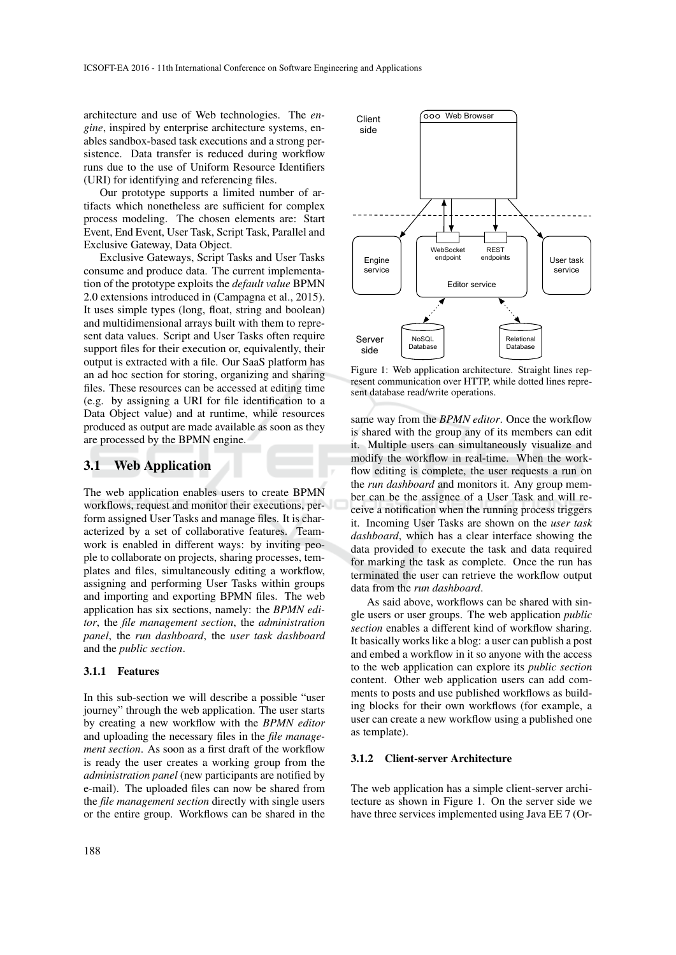architecture and use of Web technologies. The *engine*, inspired by enterprise architecture systems, enables sandbox-based task executions and a strong persistence. Data transfer is reduced during workflow runs due to the use of Uniform Resource Identifiers (URI) for identifying and referencing files.

Our prototype supports a limited number of artifacts which nonetheless are sufficient for complex process modeling. The chosen elements are: Start Event, End Event, User Task, Script Task, Parallel and Exclusive Gateway, Data Object.

Exclusive Gateways, Script Tasks and User Tasks consume and produce data. The current implementation of the prototype exploits the *default value* BPMN 2.0 extensions introduced in (Campagna et al., 2015). It uses simple types (long, float, string and boolean) and multidimensional arrays built with them to represent data values. Script and User Tasks often require support files for their execution or, equivalently, their output is extracted with a file. Our SaaS platform has an ad hoc section for storing, organizing and sharing files. These resources can be accessed at editing time (e.g. by assigning a URI for file identification to a Data Object value) and at runtime, while resources produced as output are made available as soon as they are processed by the BPMN engine.

#### 3.1 Web Application

The web application enables users to create BPMN workflows, request and monitor their executions, perform assigned User Tasks and manage files. It is characterized by a set of collaborative features. Teamwork is enabled in different ways: by inviting people to collaborate on projects, sharing processes, templates and files, simultaneously editing a workflow, assigning and performing User Tasks within groups and importing and exporting BPMN files. The web application has six sections, namely: the *BPMN editor*, the *file management section*, the *administration panel*, the *run dashboard*, the *user task dashboard* and the *public section*.

#### 3.1.1 Features

In this sub-section we will describe a possible "user journey" through the web application. The user starts by creating a new workflow with the *BPMN editor* and uploading the necessary files in the *file management section*. As soon as a first draft of the workflow is ready the user creates a working group from the *administration panel* (new participants are notified by e-mail). The uploaded files can now be shared from the *file management section* directly with single users or the entire group. Workflows can be shared in the



Figure 1: Web application architecture. Straight lines represent communication over HTTP, while dotted lines represent database read/write operations.

same way from the *BPMN editor*. Once the workflow is shared with the group any of its members can edit it. Multiple users can simultaneously visualize and modify the workflow in real-time. When the workflow editing is complete, the user requests a run on the *run dashboard* and monitors it. Any group member can be the assignee of a User Task and will receive a notification when the running process triggers it. Incoming User Tasks are shown on the *user task dashboard*, which has a clear interface showing the data provided to execute the task and data required for marking the task as complete. Once the run has terminated the user can retrieve the workflow output data from the *run dashboard*.

As said above, workflows can be shared with single users or user groups. The web application *public section* enables a different kind of workflow sharing. It basically works like a blog: a user can publish a post and embed a workflow in it so anyone with the access to the web application can explore its *public section* content. Other web application users can add comments to posts and use published workflows as building blocks for their own workflows (for example, a user can create a new workflow using a published one as template).

#### 3.1.2 Client-server Architecture

The web application has a simple client-server architecture as shown in Figure 1. On the server side we have three services implemented using Java EE 7 (Or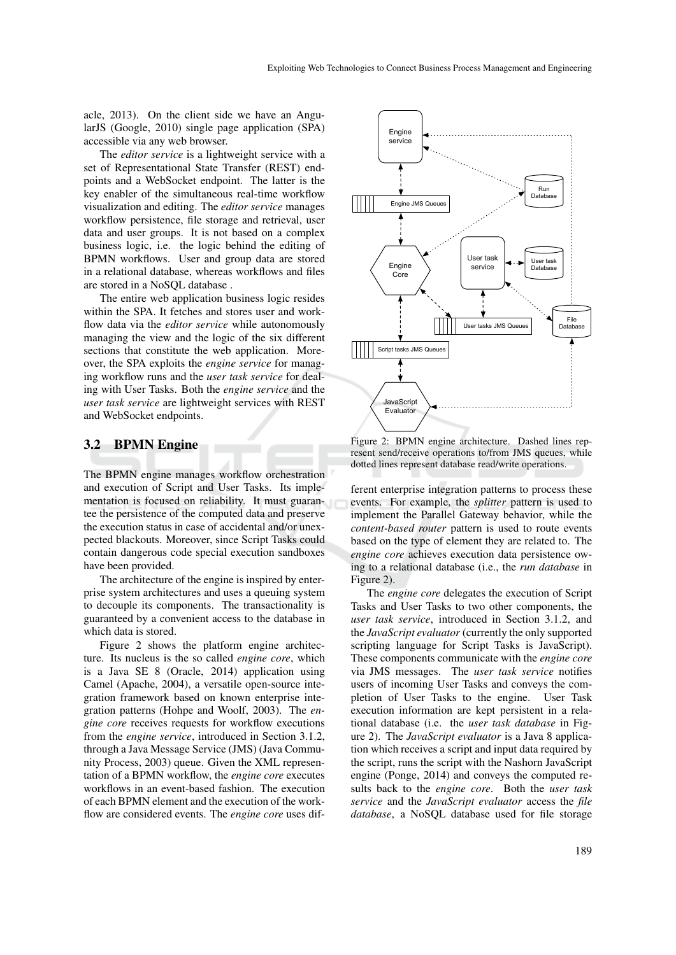acle, 2013). On the client side we have an AngularJS (Google, 2010) single page application (SPA) accessible via any web browser.

The *editor service* is a lightweight service with a set of Representational State Transfer (REST) endpoints and a WebSocket endpoint. The latter is the key enabler of the simultaneous real-time workflow visualization and editing. The *editor service* manages workflow persistence, file storage and retrieval, user data and user groups. It is not based on a complex business logic, i.e. the logic behind the editing of BPMN workflows. User and group data are stored in a relational database, whereas workflows and files are stored in a NoSQL database .

The entire web application business logic resides within the SPA. It fetches and stores user and workflow data via the *editor service* while autonomously managing the view and the logic of the six different sections that constitute the web application. Moreover, the SPA exploits the *engine service* for managing workflow runs and the *user task service* for dealing with User Tasks. Both the *engine service* and the *user task service* are lightweight services with REST and WebSocket endpoints.

#### 3.2 BPMN Engine

The BPMN engine manages workflow orchestration and execution of Script and User Tasks. Its implementation is focused on reliability. It must guarantee the persistence of the computed data and preserve the execution status in case of accidental and/or unexpected blackouts. Moreover, since Script Tasks could contain dangerous code special execution sandboxes have been provided.

The architecture of the engine is inspired by enterprise system architectures and uses a queuing system to decouple its components. The transactionality is guaranteed by a convenient access to the database in which data is stored.

Figure 2 shows the platform engine architecture. Its nucleus is the so called *engine core*, which is a Java SE 8 (Oracle, 2014) application using Camel (Apache, 2004), a versatile open-source integration framework based on known enterprise integration patterns (Hohpe and Woolf, 2003). The *engine core* receives requests for workflow executions from the *engine service*, introduced in Section 3.1.2, through a Java Message Service (JMS) (Java Community Process, 2003) queue. Given the XML representation of a BPMN workflow, the *engine core* executes workflows in an event-based fashion. The execution of each BPMN element and the execution of the workflow are considered events. The *engine core* uses dif-



Figure 2: BPMN engine architecture. Dashed lines represent send/receive operations to/from JMS queues, while dotted lines represent database read/write operations.

ferent enterprise integration patterns to process these events. For example, the *splitter* pattern is used to implement the Parallel Gateway behavior, while the *content-based router* pattern is used to route events based on the type of element they are related to. The *engine core* achieves execution data persistence owing to a relational database (i.e., the *run database* in Figure 2).

The *engine core* delegates the execution of Script Tasks and User Tasks to two other components, the *user task service*, introduced in Section 3.1.2, and the *JavaScript evaluator* (currently the only supported scripting language for Script Tasks is JavaScript). These components communicate with the *engine core* via JMS messages. The *user task service* notifies users of incoming User Tasks and conveys the completion of User Tasks to the engine. User Task execution information are kept persistent in a relational database (i.e. the *user task database* in Figure 2). The *JavaScript evaluator* is a Java 8 application which receives a script and input data required by the script, runs the script with the Nashorn JavaScript engine (Ponge, 2014) and conveys the computed results back to the *engine core*. Both the *user task service* and the *JavaScript evaluator* access the *file database*, a NoSQL database used for file storage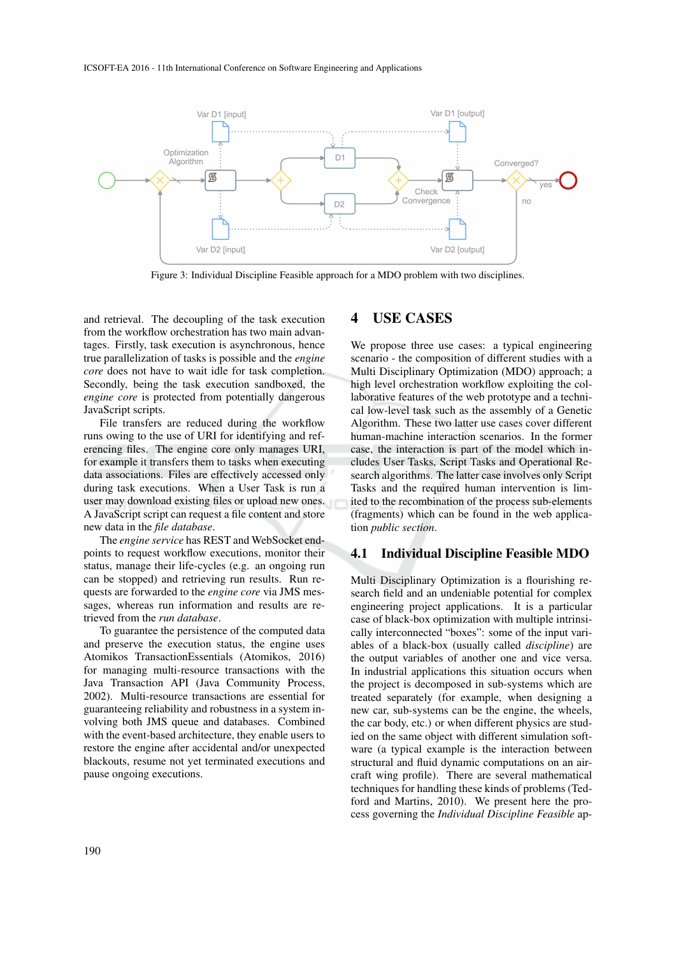

Figure 3: Individual Discipline Feasible approach for a MDO problem with two disciplines.

and retrieval. The decoupling of the task execution from the workflow orchestration has two main advantages. Firstly, task execution is asynchronous, hence true parallelization of tasks is possible and the *engine core* does not have to wait idle for task completion. Secondly, being the task execution sandboxed, the *engine core* is protected from potentially dangerous JavaScript scripts.

File transfers are reduced during the workflow runs owing to the use of URI for identifying and referencing files. The engine core only manages URI, for example it transfers them to tasks when executing data associations. Files are effectively accessed only during task executions. When a User Task is run a user may download existing files or upload new ones. A JavaScript script can request a file content and store new data in the *file database*.

The *engine service* has REST and WebSocket endpoints to request workflow executions, monitor their status, manage their life-cycles (e.g. an ongoing run can be stopped) and retrieving run results. Run requests are forwarded to the *engine core* via JMS messages, whereas run information and results are retrieved from the *run database*.

To guarantee the persistence of the computed data and preserve the execution status, the engine uses Atomikos TransactionEssentials (Atomikos, 2016) for managing multi-resource transactions with the Java Transaction API (Java Community Process, 2002). Multi-resource transactions are essential for guaranteeing reliability and robustness in a system involving both JMS queue and databases. Combined with the event-based architecture, they enable users to restore the engine after accidental and/or unexpected blackouts, resume not yet terminated executions and pause ongoing executions.

## 4 USE CASES

We propose three use cases: a typical engineering scenario - the composition of different studies with a Multi Disciplinary Optimization (MDO) approach; a high level orchestration workflow exploiting the collaborative features of the web prototype and a technical low-level task such as the assembly of a Genetic Algorithm. These two latter use cases cover different human-machine interaction scenarios. In the former case, the interaction is part of the model which includes User Tasks, Script Tasks and Operational Research algorithms. The latter case involves only Script Tasks and the required human intervention is limited to the recombination of the process sub-elements (fragments) which can be found in the web application *public section*.

#### 4.1 Individual Discipline Feasible MDO

Multi Disciplinary Optimization is a flourishing research field and an undeniable potential for complex engineering project applications. It is a particular case of black-box optimization with multiple intrinsically interconnected "boxes": some of the input variables of a black-box (usually called *discipline*) are the output variables of another one and vice versa. In industrial applications this situation occurs when the project is decomposed in sub-systems which are treated separately (for example, when designing a new car, sub-systems can be the engine, the wheels, the car body, etc.) or when different physics are studied on the same object with different simulation software (a typical example is the interaction between structural and fluid dynamic computations on an aircraft wing profile). There are several mathematical techniques for handling these kinds of problems (Tedford and Martins, 2010). We present here the process governing the *Individual Discipline Feasible* ap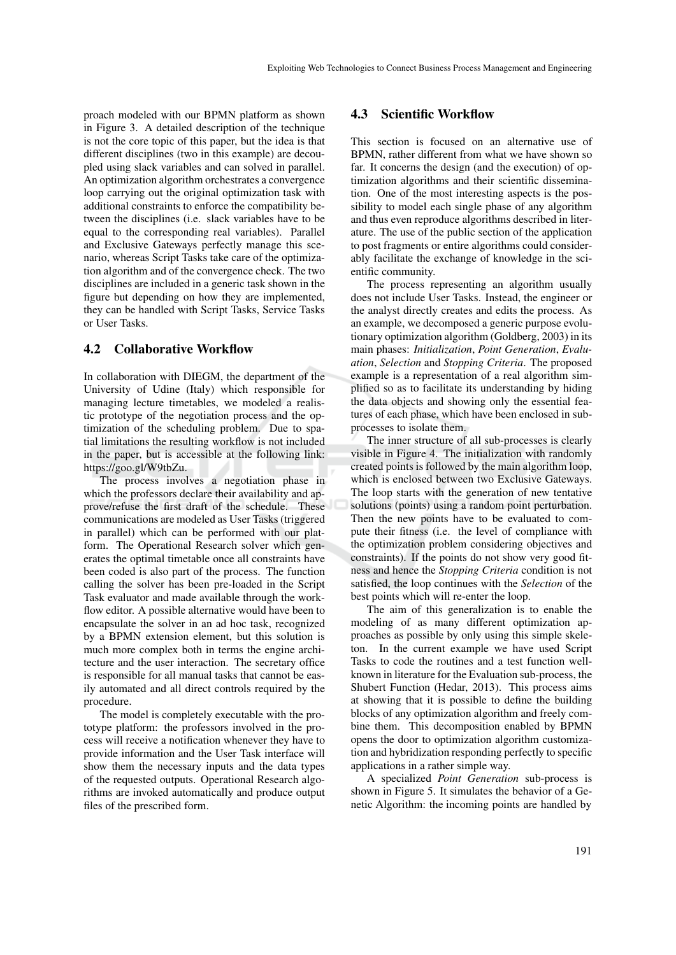proach modeled with our BPMN platform as shown in Figure 3. A detailed description of the technique is not the core topic of this paper, but the idea is that different disciplines (two in this example) are decoupled using slack variables and can solved in parallel. An optimization algorithm orchestrates a convergence loop carrying out the original optimization task with additional constraints to enforce the compatibility between the disciplines (i.e. slack variables have to be equal to the corresponding real variables). Parallel and Exclusive Gateways perfectly manage this scenario, whereas Script Tasks take care of the optimization algorithm and of the convergence check. The two disciplines are included in a generic task shown in the figure but depending on how they are implemented, they can be handled with Script Tasks, Service Tasks or User Tasks.

### 4.2 Collaborative Workflow

In collaboration with DIEGM, the department of the University of Udine (Italy) which responsible for managing lecture timetables, we modeled a realistic prototype of the negotiation process and the optimization of the scheduling problem. Due to spatial limitations the resulting workflow is not included in the paper, but is accessible at the following link: https://goo.gl/W9tbZu.

The process involves a negotiation phase in which the professors declare their availability and approve/refuse the first draft of the schedule. These communications are modeled as User Tasks (triggered in parallel) which can be performed with our platform. The Operational Research solver which generates the optimal timetable once all constraints have been coded is also part of the process. The function calling the solver has been pre-loaded in the Script Task evaluator and made available through the workflow editor. A possible alternative would have been to encapsulate the solver in an ad hoc task, recognized by a BPMN extension element, but this solution is much more complex both in terms the engine architecture and the user interaction. The secretary office is responsible for all manual tasks that cannot be easily automated and all direct controls required by the procedure.

The model is completely executable with the prototype platform: the professors involved in the process will receive a notification whenever they have to provide information and the User Task interface will show them the necessary inputs and the data types of the requested outputs. Operational Research algorithms are invoked automatically and produce output files of the prescribed form.

#### 4.3 Scientific Workflow

This section is focused on an alternative use of BPMN, rather different from what we have shown so far. It concerns the design (and the execution) of optimization algorithms and their scientific dissemination. One of the most interesting aspects is the possibility to model each single phase of any algorithm and thus even reproduce algorithms described in literature. The use of the public section of the application to post fragments or entire algorithms could considerably facilitate the exchange of knowledge in the scientific community.

The process representing an algorithm usually does not include User Tasks. Instead, the engineer or the analyst directly creates and edits the process. As an example, we decomposed a generic purpose evolutionary optimization algorithm (Goldberg, 2003) in its main phases: *Initialization*, *Point Generation*, *Evaluation*, *Selection* and *Stopping Criteria*. The proposed example is a representation of a real algorithm simplified so as to facilitate its understanding by hiding the data objects and showing only the essential features of each phase, which have been enclosed in subprocesses to isolate them.

The inner structure of all sub-processes is clearly visible in Figure 4. The initialization with randomly created points is followed by the main algorithm loop, which is enclosed between two Exclusive Gateways. The loop starts with the generation of new tentative solutions (points) using a random point perturbation. Then the new points have to be evaluated to compute their fitness (i.e. the level of compliance with the optimization problem considering objectives and constraints). If the points do not show very good fitness and hence the *Stopping Criteria* condition is not satisfied, the loop continues with the *Selection* of the best points which will re-enter the loop.

The aim of this generalization is to enable the modeling of as many different optimization approaches as possible by only using this simple skeleton. In the current example we have used Script Tasks to code the routines and a test function wellknown in literature for the Evaluation sub-process, the Shubert Function (Hedar, 2013). This process aims at showing that it is possible to define the building blocks of any optimization algorithm and freely combine them. This decomposition enabled by BPMN opens the door to optimization algorithm customization and hybridization responding perfectly to specific applications in a rather simple way.

A specialized *Point Generation* sub-process is shown in Figure 5. It simulates the behavior of a Genetic Algorithm: the incoming points are handled by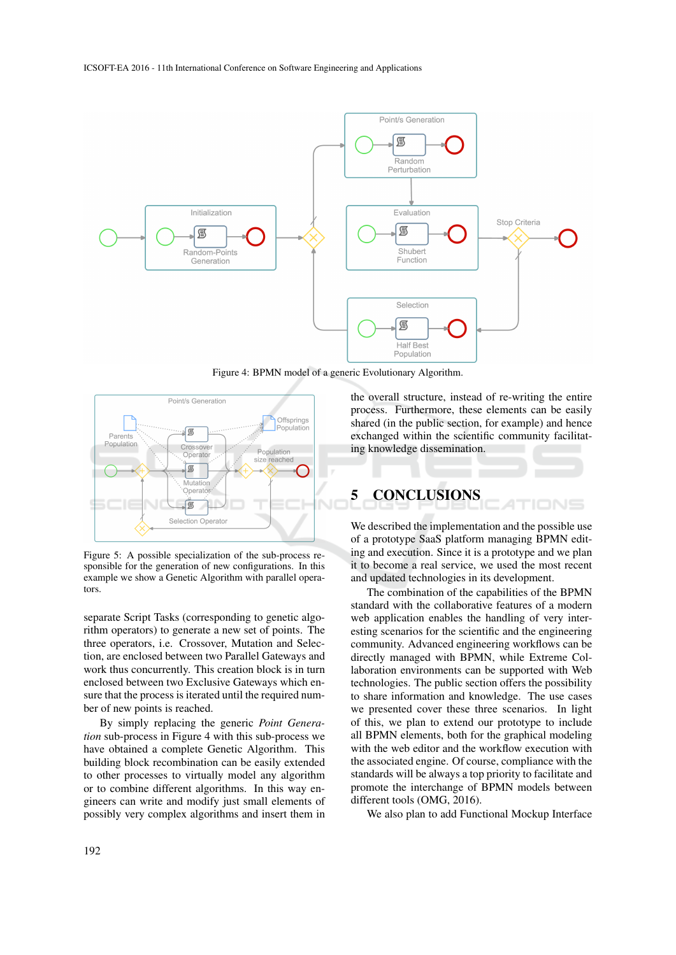

Figure 4: BPMN model of a generic Evolutionary Algorithm.



Figure 5: A possible specialization of the sub-process responsible for the generation of new configurations. In this example we show a Genetic Algorithm with parallel operators.

separate Script Tasks (corresponding to genetic algorithm operators) to generate a new set of points. The three operators, i.e. Crossover, Mutation and Selection, are enclosed between two Parallel Gateways and work thus concurrently. This creation block is in turn enclosed between two Exclusive Gateways which ensure that the process is iterated until the required number of new points is reached.

By simply replacing the generic *Point Generation* sub-process in Figure 4 with this sub-process we have obtained a complete Genetic Algorithm. This building block recombination can be easily extended to other processes to virtually model any algorithm or to combine different algorithms. In this way engineers can write and modify just small elements of possibly very complex algorithms and insert them in

the overall structure, instead of re-writing the entire process. Furthermore, these elements can be easily shared (in the public section, for example) and hence exchanged within the scientific community facilitating knowledge dissemination.

# 5 CONCLUSIONS

We described the implementation and the possible use of a prototype SaaS platform managing BPMN editing and execution. Since it is a prototype and we plan it to become a real service, we used the most recent and updated technologies in its development.

The combination of the capabilities of the BPMN standard with the collaborative features of a modern web application enables the handling of very interesting scenarios for the scientific and the engineering community. Advanced engineering workflows can be directly managed with BPMN, while Extreme Collaboration environments can be supported with Web technologies. The public section offers the possibility to share information and knowledge. The use cases we presented cover these three scenarios. In light of this, we plan to extend our prototype to include all BPMN elements, both for the graphical modeling with the web editor and the workflow execution with the associated engine. Of course, compliance with the standards will be always a top priority to facilitate and promote the interchange of BPMN models between different tools (OMG, 2016).

We also plan to add Functional Mockup Interface